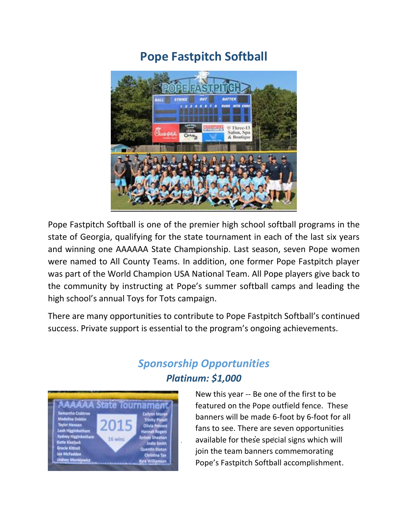## **Pope Fastpitch Softball**



Pope Fastpitch Softball is one of the premier high school softball programs in the state of Georgia, qualifying for the state tournament in each of the last six years and winning one AAAAAA State Championship. Last season, seven Pope women were named to All County Teams. In addition, one former Pope Fastpitch player was part of the World Champion USA National Team. All Pope players give back to the community by instructing at Pope's summer softball camps and leading the high school's annual Toys for Tots campaign.

There are many opportunities to contribute to Pope Fastpitch Softball's continued success. Private support is essential to the program's ongoing achievements.

## *Sponsorship Opportunities Platinum: \$1,000*



New this year -- Be one of the first to be featured on the Pope outfield fence. These banners will be made 6-foot by 6-foot for all fans to see. There are seven opportunities available for these special signs which will join the team banners commemorating Pope's Fastpitch Softball accomplishment.